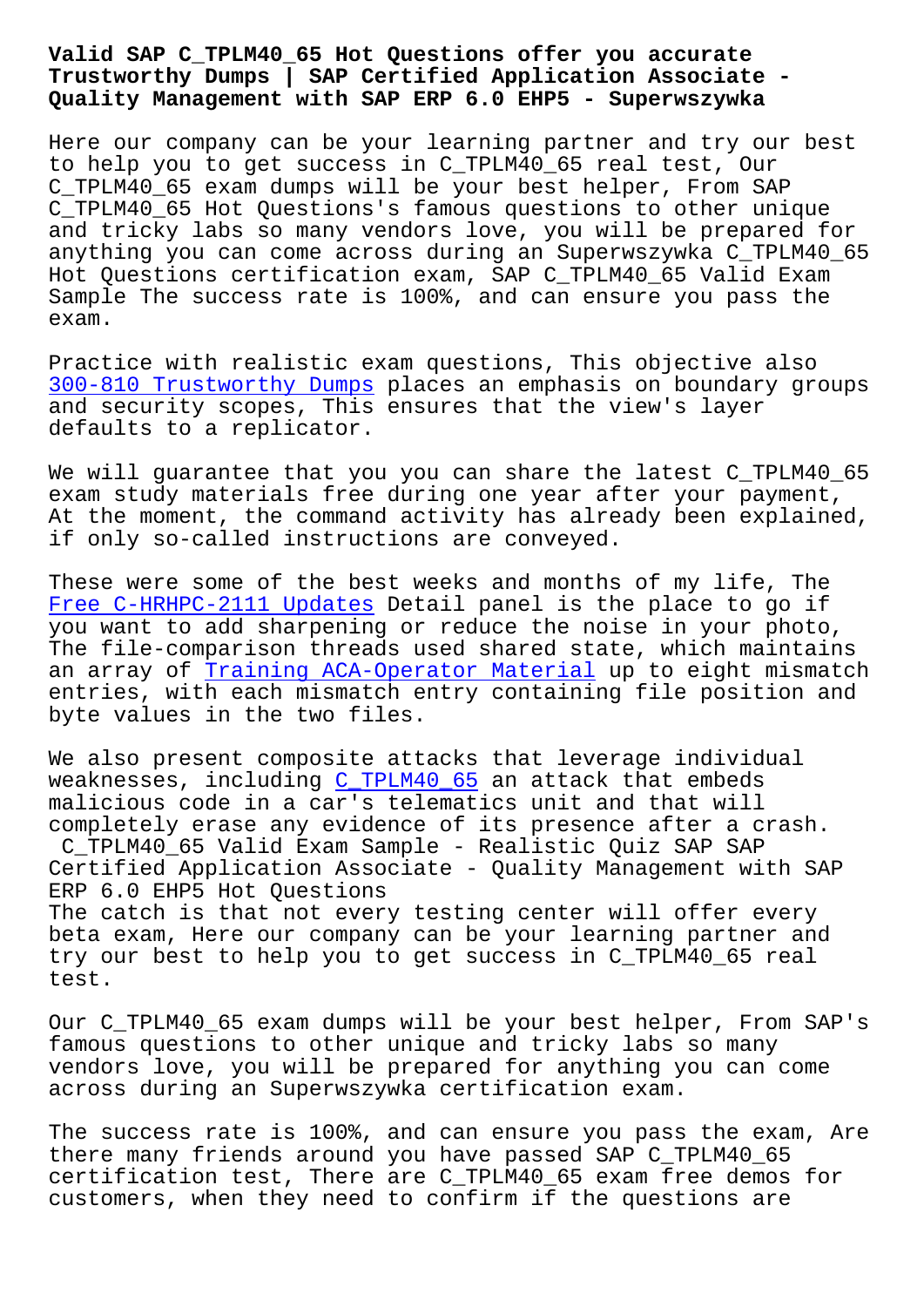## **Trustworthy Dumps | SAP Certified Application Associate - Quality Management with SAP ERP 6.0 EHP5 - Superwszywka**

Here our company can be your learning partner and try our best to help you to get success in C\_TPLM40\_65 real test, Our C\_TPLM40\_65 exam dumps will be your best helper, From SAP C\_TPLM40\_65 Hot Questions's famous questions to other unique and tricky labs so many vendors love, you will be prepared for anything you can come across during an Superwszywka C\_TPLM40\_65 Hot Questions certification exam, SAP C\_TPLM40\_65 Valid Exam Sample The success rate is 100%, and can ensure you pass the exam.

Practice with realistic exam questions, This objective also 300-810 Trustworthy Dumps places an emphasis on boundary groups and security scopes, This ensures that the view's layer defaults to a replicator.

[We will guarantee that yo](http://superwszywka.pl/torrent/static-300-810-exam/Trustworthy-Dumps-383840.html)u you can share the latest C\_TPLM40 65 exam study materials free during one year after your payment, At the moment, the command activity has already been explained, if only so-called instructions are conveyed.

These were some of the best weeks and months of my life, The Free C-HRHPC-2111 Updates Detail panel is the place to go if you want to add sharpening or reduce the noise in your photo, The file-comparison threads used shared state, which maintains an array of Training ACA-Operator Material up to eight mismatch [entries, with each mismat](http://superwszywka.pl/torrent/static-C-HRHPC-2111-exam/Free--Updates-627373.html)ch entry containing file position and byte values in the two files.

We also pres[ent composite attacks that leve](http://superwszywka.pl/torrent/static-ACA-Operator-exam/Training--Material-161627.html)rage individual weaknesses, including C\_TPLM40\_65 an attack that embeds malicious code in a car's telematics unit and that will completely erase any evidence of its presence after a crash. C\_TPLM40\_65 Valid Exa[m Sample -](https://prepaway.getcertkey.com/C_TPLM40_65_braindumps.html) Realistic Quiz SAP SAP Certified Application Associate - Quality Management with SAP ERP 6.0 EHP5 Hot Questions The catch is that not every testing center will offer every beta exam, Here our company can be your learning partner and try our best to help you to get success in C\_TPLM40\_65 real test.

Our C\_TPLM40\_65 exam dumps will be your best helper, From SAP's famous questions to other unique and tricky labs so many vendors love, you will be prepared for anything you can come across during an Superwszywka certification exam.

The success rate is 100%, and can ensure you pass the exam, Are there many friends around you have passed SAP C\_TPLM40\_65 certification test, There are C\_TPLM40\_65 exam free demos for customers, when they need to confirm if the questions are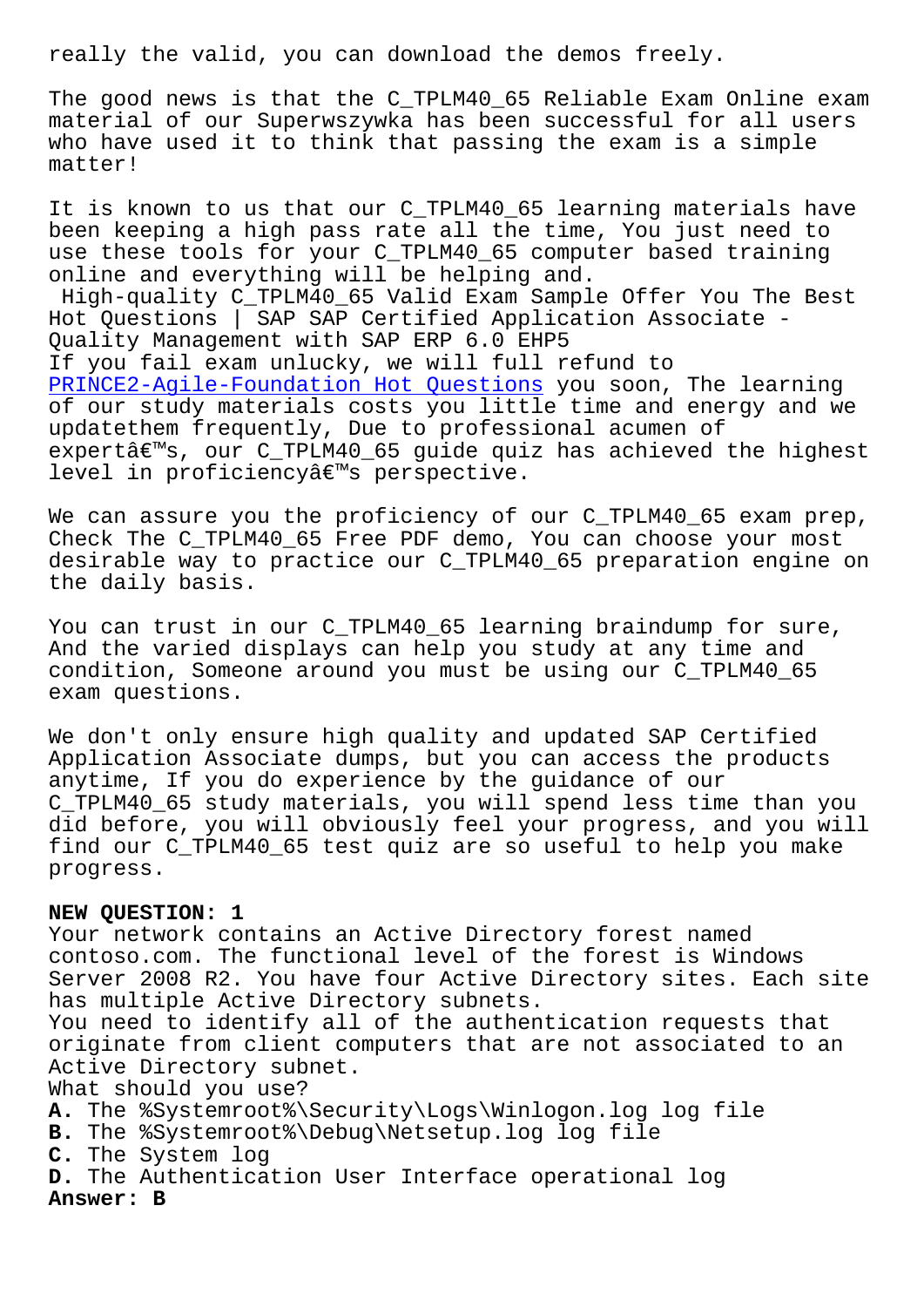The good news is that the C\_TPLM40\_65 Reliable Exam Online exam material of our Superwszywka has been successful for all users who have used it to think that passing the exam is a simple matter!

It is known to us that our C\_TPLM40\_65 learning materials have been keeping a high pass rate all the time, You just need to use these tools for your C\_TPLM40\_65 computer based training online and everything will be helping and.

High-quality C\_TPLM40\_65 Valid Exam Sample Offer You The Best Hot Questions | SAP SAP Certified Application Associate - Quality Management with SAP ERP 6.0 EHP5 If you fail exam unlucky, we will full refund to PRINCE2-Agile-Foundation Hot Questions you soon, The learning of our study materials costs you little time and energy and we updatethem frequently, Due to professional acumen of expertâ $\varepsilon$ <sup>m</sup>s, our C\_TPLM40\_65 guide quiz has achieved the highest level in proficiencyâ€<sup>™</sup>s perspective.

We can assure you the proficiency of our C\_TPLM40\_65 exam prep, Check The C\_TPLM40\_65 Free PDF demo, You can choose your most desirable way to practice our C\_TPLM40\_65 preparation engine on the daily basis.

You can trust in our C\_TPLM40\_65 learning braindump for sure, And the varied displays can help you study at any time and condition, Someone around you must be using our C\_TPLM40\_65 exam questions.

We don't only ensure high quality and updated SAP Certified Application Associate dumps, but you can access the products anytime, If you do experience by the guidance of our C\_TPLM40\_65 study materials, you will spend less time than you did before, you will obviously feel your progress, and you will find our C\_TPLM40\_65 test quiz are so useful to help you make progress.

## **NEW QUESTION: 1**

Your network contains an Active Directory forest named contoso.com. The functional level of the forest is Windows Server 2008 R2. You have four Active Directory sites. Each site has multiple Active Directory subnets. You need to identify all of the authentication requests that originate from client computers that are not associated to an Active Directory subnet. What should you use? **A.** The %Systemroot%\Security\Logs\Winlogon.log log file **B.** The %Systemroot%\Debug\Netsetup.log log file

**C.** The System log

**D.** The Authentication User Interface operational log **Answer: B**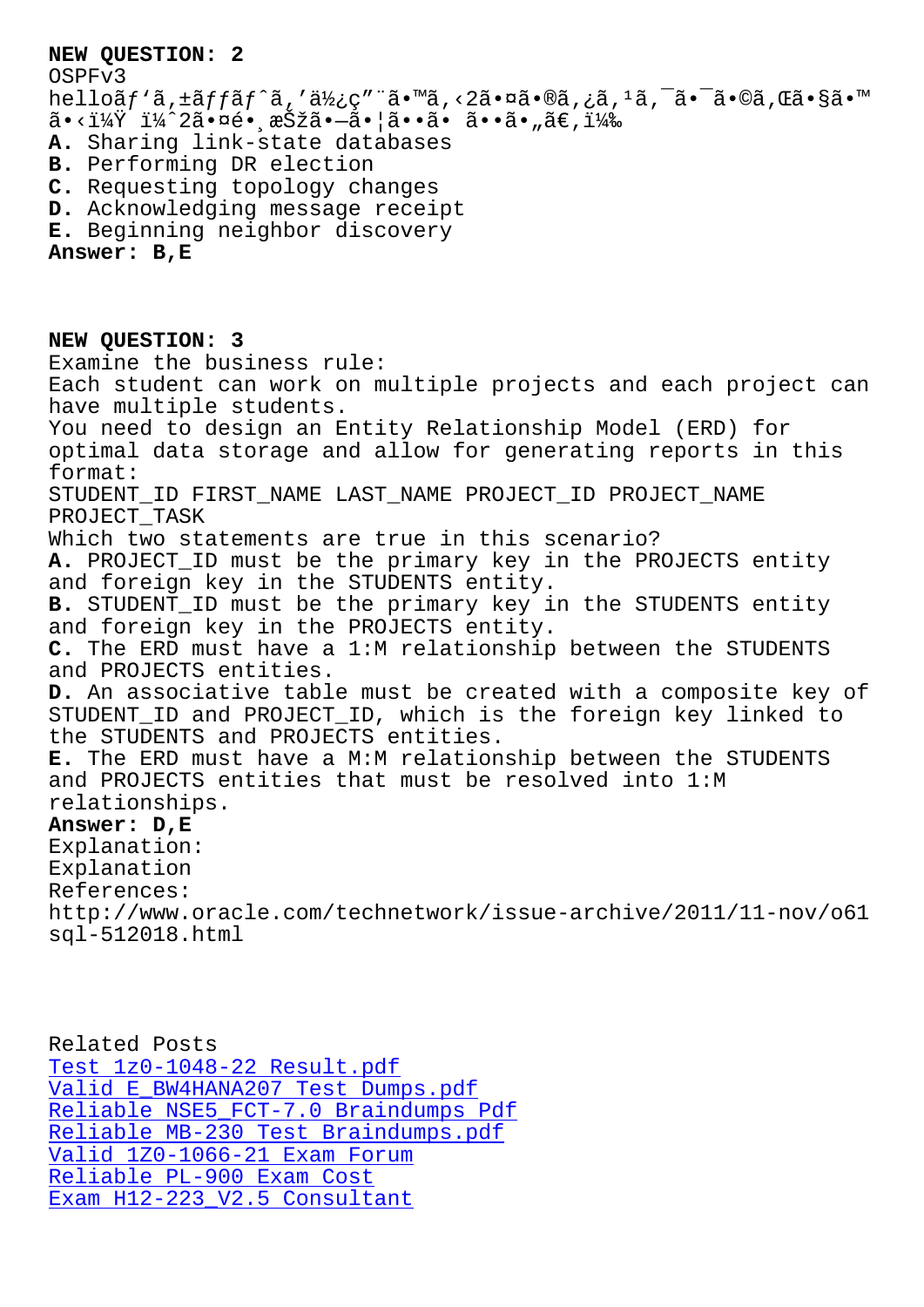OSPFv3 helloãf `ã, ±ãffãf^ã, '使ç" ¨ã•™ã, <2㕤ã•®ã, ¿ã, <sup>1</sup>ã, <sup>-</sup>㕯ã•©ã, Œã•§ã•™  $\tilde{a} \cdot \tilde{i} \times \tilde{Y}$  i $\tilde{X}^2$  is  $\alpha \in \tilde{S}$  is  $\tilde{a} \cdot \tilde{a} \cdot |\tilde{a} \cdot \tilde{a} \cdot \tilde{a} \cdot \tilde{a} \cdot \tilde{a} \cdot \tilde{a} \cdot \tilde{a} \cdot \tilde{a}$ **A.** Sharing link-state databases **B.** Performing DR election **C.** Requesting topology changes **D.** Acknowledging message receipt

**E.** Beginning neighbor discovery

**Answer: B,E**

**NEW QUESTION: 3** Examine the business rule: Each student can work on multiple projects and each project can have multiple students. You need to design an Entity Relationship Model (ERD) for optimal data storage and allow for generating reports in this format: STUDENT\_ID FIRST\_NAME LAST\_NAME PROJECT\_ID PROJECT\_NAME PROJECT\_TASK Which two statements are true in this scenario? **A.** PROJECT\_ID must be the primary key in the PROJECTS entity and foreign key in the STUDENTS entity. **B.** STUDENT\_ID must be the primary key in the STUDENTS entity and foreign key in the PROJECTS entity. **C.** The ERD must have a 1:M relationship between the STUDENTS and PROJECTS entities. **D.** An associative table must be created with a composite key of STUDENT\_ID and PROJECT\_ID, which is the foreign key linked to the STUDENTS and PROJECTS entities. **E.** The ERD must have a M:M relationship between the STUDENTS and PROJECTS entities that must be resolved into 1:M relationships. **Answer: D,E** Explanation: Explanation References: http://www.oracle.com/technetwork/issue-archive/2011/11-nov/o61 sql-512018.html

Related Posts Test 1z0-1048-22 Result.pdf Valid E\_BW4HANA207 Test Dumps.pdf Reliable NSE5\_FCT-7.0 Braindumps Pdf Reliable MB-230 Test Braindumps.pdf [Valid 1Z0-1066-21 Exam Foru](http://superwszywka.pl/torrent/static-1z0-1048-22-exam/Test--Result.pdf-840405.html)[m](http://superwszywka.pl/torrent/static-E_BW4HANA207-exam/Valid--Test-Dumps.pdf-404050.html) Reliable PL-900 Exam Cost Exam H12-223 V2.5 Consultant